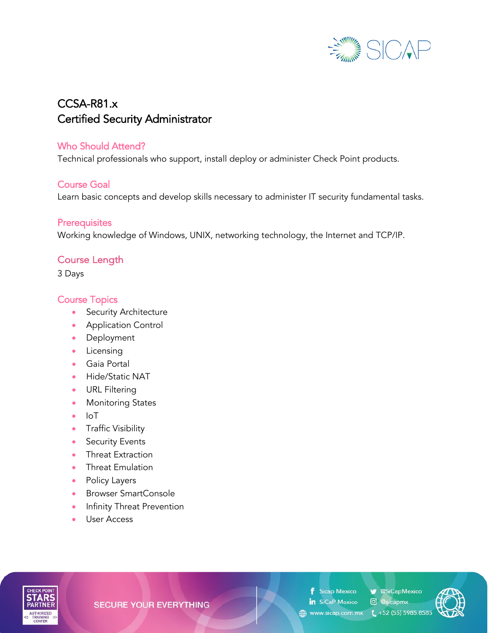

# CCSA-R81.x Certified Security Administrator

### Who Should Attend?

Technical professionals who support, install deploy or administer Check Point products.

### Course Goal

Learn basic concepts and develop skills necessary to administer IT security fundamental tasks.

#### **Prerequisites**

Working knowledge of Windows, UNIX, networking technology, the Internet and TCP/IP.

## Course Length

3 Days

### Course Topics

- Security Architecture
- Application Control
- Deployment
- Licensing
- Gaia Portal
- Hide/Static NAT
- URL Filtering
- Monitoring States
- IoT
- Traffic Visibility
- Security Events
- Threat Extraction
- Threat Emulation
- Policy Layers
- Browser SmartConsole
- Infinity Threat Prevention
- User Access



**SECURE YOUR EVERYTHING** 

**f** Sicap Mexico

SiCapMexico in SiCaP Mexico © @sicapmx

(4) www.sicap.com.mx (,+52 (55) 5985.8585

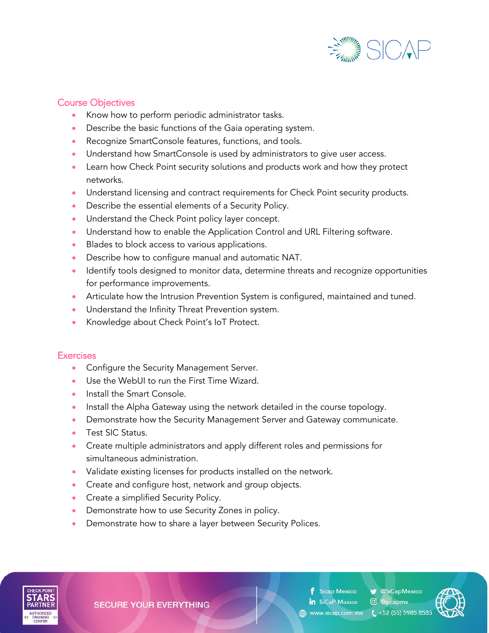

### Course Objectives

- Know how to perform periodic administrator tasks.
- Describe the basic functions of the Gaia operating system.
- Recognize SmartConsole features, functions, and tools.
- Understand how SmartConsole is used by administrators to give user access.
- Learn how Check Point security solutions and products work and how they protect networks.
- Understand licensing and contract requirements for Check Point security products.
- Describe the essential elements of a Security Policy.
- Understand the Check Point policy layer concept.
- Understand how to enable the Application Control and URL Filtering software.
- Blades to block access to various applications.
- Describe how to configure manual and automatic NAT.
- Identify tools designed to monitor data, determine threats and recognize opportunities for performance improvements.
- Articulate how the Intrusion Prevention System is configured, maintained and tuned.
- Understand the Infinity Threat Prevention system.
- Knowledge about Check Point's IoT Protect.

#### **Exercises**

- Configure the Security Management Server.
- Use the WebUI to run the First Time Wizard.
- Install the Smart Console.
- Install the Alpha Gateway using the network detailed in the course topology.
- Demonstrate how the Security Management Server and Gateway communicate.
- Test SIC Status.
- Create multiple administrators and apply different roles and permissions for simultaneous administration.
- Validate existing licenses for products installed on the network.
- Create and configure host, network and group objects.
- Create a simplified Security Policy.
- Demonstrate how to use Security Zones in policy.
- Demonstrate how to share a layer between Security Polices.



**SECURE YOUR EVERYTHING** 

**Sicap Mexico** in SiCaP Mexico © @sicapmx

SiCapMexico